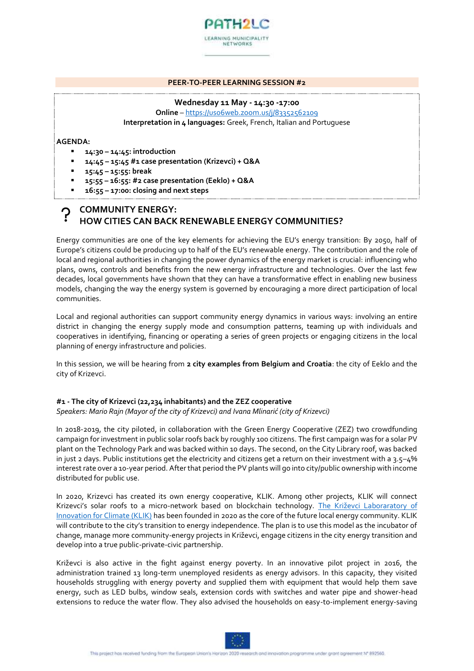

#### **PEER-TO-PEER LEARNING SESSION #2**

#### **Wednesday 11 May - 14:30 -17:00**

**Online** – <https://us06web.zoom.us/j/83352562109> **Interpretation in 4 languages:** Greek, French, Italian and Portuguese

**AGENDA:** 

- **14:30 – 14:45: introduction**
- **14:45 – 15:45 #1 case presentation (Krizevci) + Q&A**
- **15:45 – 15:55: break**
- **15:55 – 16:55: #2 case presentation (Eeklo) + Q&A**
- **16:55 – 17:00: closing and next steps**

# **COMMUNITY ENERGY: HOW CITIES CAN BACK RENEWABLE ENERGY COMMUNITIES?**

Energy communities are one of the key elements for achieving the EU's energy transition: By 2050, half of Europe's citizens could be producing up to half of the EU's renewable energy. The contribution and the role of local and regional authorities in changing the power dynamics of the energy market is crucial: influencing who plans, owns, controls and benefits from the new energy infrastructure and technologies. Over the last few decades, local governments have shown that they can have a transformative effect in enabling new business models, changing the way the energy system is governed by encouraging a more direct participation of local communities.

Local and regional authorities can support community energy dynamics in various ways: involving an entire district in changing the energy supply mode and consumption patterns, teaming up with individuals and cooperatives in identifying, financing or operating a series of green projects or engaging citizens in the local planning of energy infrastructure and policies.

In this session, we will be hearing from **2 city examples from Belgium and Croatia**: the city of Eeklo and the city of Krizevci.

### **#1 - The city of Krizevci (22,234 inhabitants) and the ZEZ cooperative**

*Speakers: Mario Rajn (Mayor of the city of Krizevci) and Ivana Mlinarić (city of Krizevci)*

In 2018-2019, the city piloted, in collaboration with the Green Energy Cooperative (ZEZ) two crowdfunding campaign for investment in public solar roofs back by roughly 100 citizens. The first campaign was for a solar PV plant on the Technology Park and was backed within 10 days. The second, on the City Library roof, was backed in just 2 days. Public institutions get the electricity and citizens get a return on their investment with a  $3.5-4%$ interest rate over a 10-year period. After that period the PV plants will go into city/public ownership with income distributed for public use.

In 2020, Krizevci has created its own energy cooperative, KLIK. Among other projects, KLIK will connect Krizevci's solar roofs to a micro-network based on blockchain technology. [The Križevci Laboraratory](https://www.krizevci.info/tag/klik/) of [Innovation for Climate \(KLIK\)](https://www.krizevci.info/tag/klik/) has been founded in 2020 as the core of the future local energy community. KLIK will contribute to the city's transition to energy independence. The plan is to use this model as the incubator of change, manage more community-energy projects in Križevci, engage citizens in the city energy transition and develop into a true public-private-civic partnership.

Križevci is also active in the fight against energy poverty. In an innovative pilot project in 2016, the administration trained 13 long-term unemployed residents as energy advisors. In this capacity, they visited households struggling with energy poverty and supplied them with equipment that would help them save energy, such as LED bulbs, window seals, extension cords with switches and water pipe and shower-head extensions to reduce the water flow. They also advised the households on easy-to-implement energy-saving